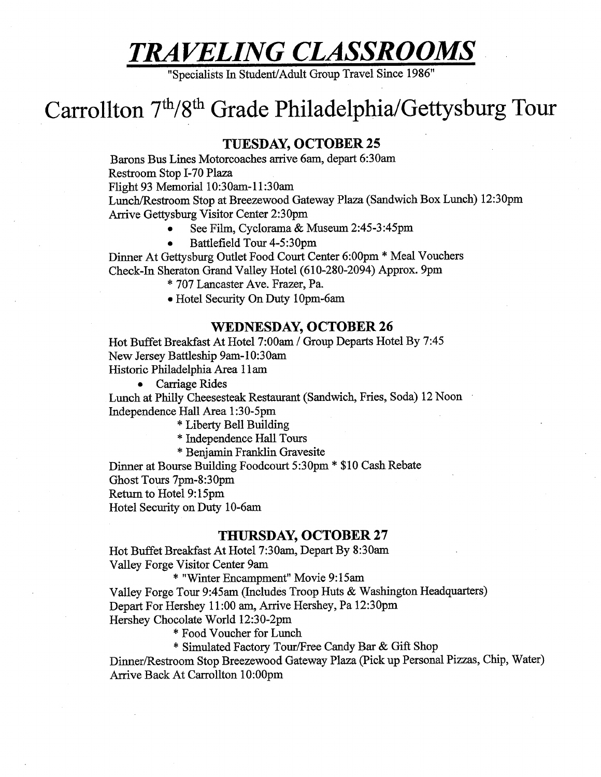# TRAVELING CLASSROOMS |

"Specialists In Student/Adult Group Travel Since 1986"

## Carrollton 7<sup>th</sup>/8<sup>th</sup> Grade Philadelphia/ Gettysburg Tour

#### TUESDAY, OCTOBER 25

Barons Bus Lines Motorcoaches arrive 6am, depart 6:30am Restroom Stop I-70 Plaza Flight 93 Memorial 10:30am-11:30am Lunch/Restroom Stop at Breezewood Gateway Plaza (Sandwich Box Lunch) 12:30pm

Arrive Gettysburg Visitor Center 2:30pm

- e = See Film, Cyclorama & Museum 2:45-3:45pm.
- e Battlefield Tour 4-5:30pm

Dinner At Gettysburg Outlet Food Court Center 6:00pm \* Meal Vouchers Check-In Sheraton Grand Valley Hotel (610-280-2094) Approx. 9pm

- \* 707 Lancaster Ave. Frazer, Pa.
- e Hotel Security On Duty 10pm-6am

#### WEDNESDAY, OCTOBER 26

Hot Buffet Breakfast At Hotel 7:00am / Group Departs Hotel By 7:45 New Jersey Battleship 9am-10:30am Historic Philadelphia Area 11am

e Carriage Rides

Lunch at Philly Cheesesteak Restaurant (Sandwich, Fries, Soda) 12 Noon - Independence Hall Area 1:30-5pm

\* Liberty Bell Building

\* Independence Hall Tours

\* Benjamin Franklin Gravesite

Dinner at Bourse Building Foodcourt 5:30pm \* \$10 Cash Rebate Ghost Tours 7pm-8:30pm Return to Hotel 9:15pm

Hotel Security on Duty 10-6am

#### THURSDAY, OCTOBER 27

Hot Buffet Breakfast At Hotel 7:30am, Depart By 8:30am Valley Forge Visitor Center 9am

\* "Winter Encampment" Movie 9:15am

Valley Forge Tour 9:45am (Includes Troop Huts & Washington Headquarters) Depart For Hershey 11:00 am, Arrive Hershey, Pa 12:30pm Hershey Chocolate World 12:30-2pm

\* Food Voucher for Lunch

\* Simulated Factory Tour/Free Candy Bar & Gift Shop

Dinner/Restroom Stop Breezewood Gateway Plaza (Pick up Personal Pizzas, Chip, Water) Arrive Back At Carrollton 10:00pm